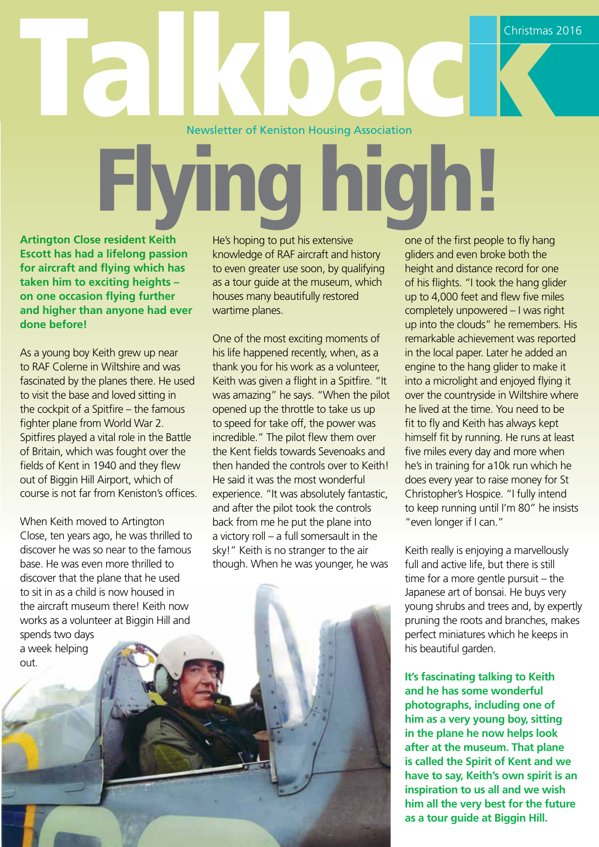# Newsletter of Keniston Housing Association Christmas 2016<br>Newsletter of Keniston Housing Association

# gh

**Artington Close resident Keith Escott has had a lifelong passion for aircraft and flying which has taken him to exciting heights – on one occasion flying further and higher than anyone had ever done before!**

As a young boy Keith grew up near to RAF Colerne in Wiltshire and was fascinated by the planes there. He used to visit the base and loved sitting in the cockpit of a Spitfire – the famous fighter plane from World War 2. Spitfires played a vital role in the Battle of Britain, which was fought over the fields of Kent in 1940 and they flew out of Biggin Hill Airport, which of course is not far from Keniston's offices.

When Keith moved to Artington Close, ten years ago, he was thrilled to discover he was so near to the famous base. He was even more thrilled to discover that the plane that he used to sit in as a child is now housed in the aircraft museum there! Keith now works as a volunteer at Biggin Hill and spends two days a week helping out.

He's hoping to put his extensive knowledge of RAF aircraft and history to even greater use soon, by qualifying as a tour guide at the museum, which houses many beautifully restored wartime planes.

One of the most exciting moments of his life happened recently, when, as a thank you for his work as a volunteer, Keith was given a flight in a Spitfire. "It was amazing" he says. "When the pilot opened up the throttle to take us up to speed for take off, the power was incredible." The pilot flew them over the Kent fields towards Sevenoaks and then handed the controls over to Keith! He said it was the most wonderful experience. "It was absolutely fantastic, and after the pilot took the controls back from me he put the plane into a victory roll – a full somersault in the sky!" Keith is no stranger to the air though. When he was younger, he was

one of the first people to fly hang gliders and even broke both the height and distance record for one of his flights. "I took the hang glider up to 4,000 feet and flew five miles completely unpowered – I was right up into the clouds" he remembers. His remarkable achievement was reported in the local paper. Later he added an engine to the hang glider to make it into a microlight and enjoyed flying it over the countryside in Wiltshire where he lived at the time. You need to be fit to fly and Keith has always kept himself fit by running. He runs at least five miles every day and more when he's in training for a10k run which he does every year to raise money for St Christopher's Hospice. "I fully intend to keep running until I'm 80" he insists "even longer if I can."

Keith really is enjoying a marvellously full and active life, but there is still time for a more gentle pursuit – the Japanese art of bonsai. He buys very young shrubs and trees and, by expertly pruning the roots and branches, makes perfect miniatures which he keeps in his beautiful garden.

**It's fascinating talking to Keith and he has some wonderful photographs, including one of him as a very young boy, sitting in the plane he now helps look after at the museum. That plane is called the Spirit of Kent and we have to say, Keith's own spirit is an inspiration to us all and we wish him all the very best for the future as a tour guide at Biggin Hill.**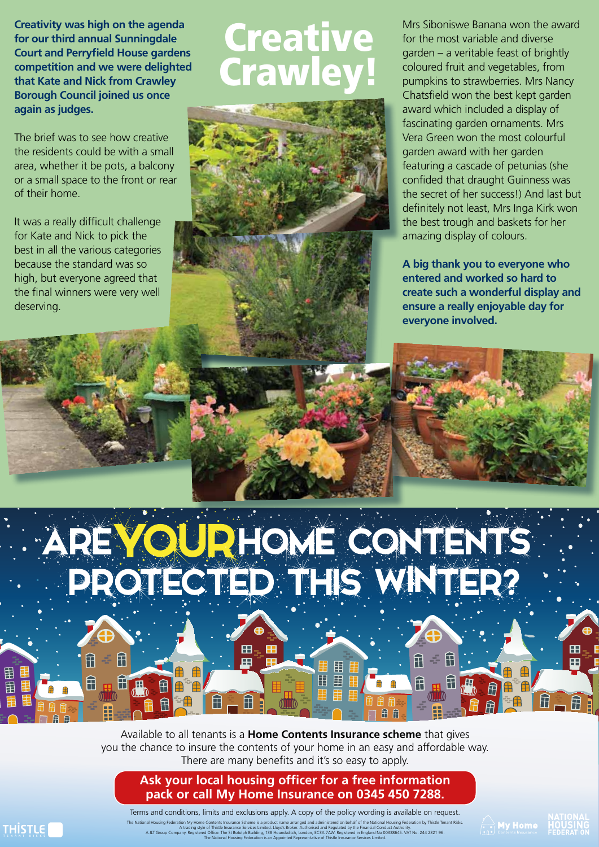**Creativity was high on the agenda for our third annual Sunningdale Court and Perryfield House gardens competition and we were delighted that Kate and Nick from Crawley Borough Council joined us once again as judges.** 

The brief was to see how creative the residents could be with a small area, whether it be pots, a balcony or a small space to the front or rear of their home.

It was a really difficult challenge for Kate and Nick to pick the best in all the various categories because the standard was so high, but everyone agreed that the final winners were very well deserving.

角

**HIE** 

田

帍

### **Creative Crawl**



Mrs Siboniswe Banana won the award for the most variable and diverse garden – a veritable feast of brightly coloured fruit and vegetables, from pumpkins to strawberries. Mrs Nancy Chatsfield won the best kept garden award which included a display of fascinating garden ornaments. Mrs Vera Green won the most colourful garden award with her garden featuring a cascade of petunias (she confided that draught Guinness was the secret of her success!) And last but definitely not least, Mrs Inga Kirk won the best trough and baskets for her amazing display of colours.

**A big thank you to everyone who entered and worked so hard to create such a wonderful display and ensure a really enjoyable day for everyone involved.**

# REVOURHOME CONTENTS

 $\overline{H}$ 

田

Available to all tenants is a **Home Contents Insurance scheme** that gives you the chance to insure the contents of your home in an easy and affordable way. There are many benefits and it's so easy to apply.

旧 用 田

#### **Ask your local housing officer for a free information pack or call My Home Insurance on 0345 450 7288.**

The National Housing Federation My Home Contents Insurance Scheme is a product name arranged and administered on behalf of the National Housing Federation by Thistle Tenant Risks.<br>A trading style of Thistle Insurance Servi Terms and conditions, limits and exclusions apply. A copy of the policy wording is available on request.

The National Housing Federation is an Appointed Representative of Thistle Insurance Services Limited.

 $\mathbb{H}$  , ii

 $\mathbf{H}$ 

田

Ħ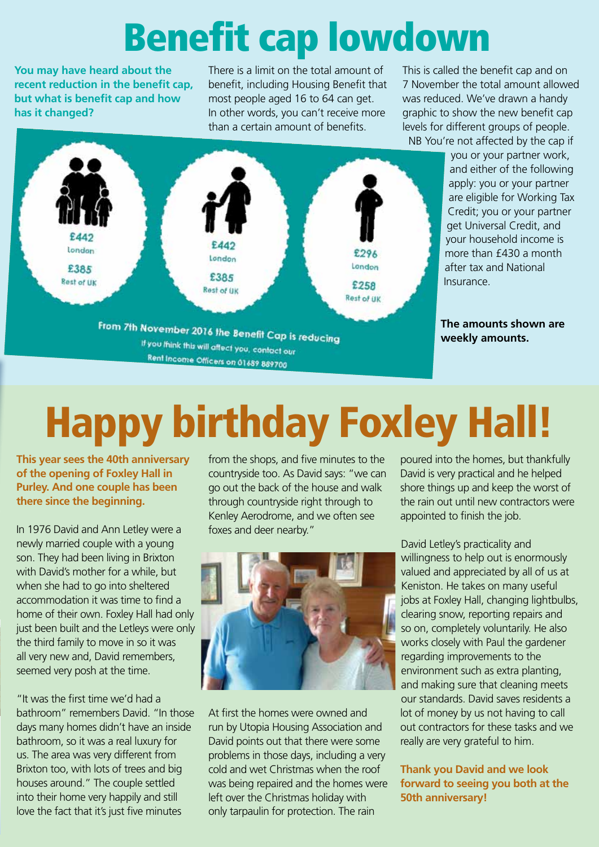## Benefit cap lowdown

**You may have heard about the recent reduction in the benefit cap, but what is benefit cap and how has it changed?** 

There is a limit on the total amount of benefit, including Housing Benefit that most people aged 16 to 64 can get. In other words, you can't receive more than a certain amount of benefits.

This is called the benefit cap and on 7 November the total amount allowed was reduced. We've drawn a handy graphic to show the new benefit cap levels for different groups of people. NB You're not affected by the cap if

London London London £385 £385 **Rest of UK** £258 **Rest of UK Rest of UK** From 7th November 2016 the Benefit Cap is reducing If you think this will affect you, contact our Rent Income Officers on 01689 889700

you or your partner work, and either of the following apply: you or your partner are eligible for Working Tax Credit; you or your partner get Universal Credit, and your household income is more than £430 a month after tax and National Insurance.

**The amounts shown are weekly amounts.**

# Happy birthday Foxley Hall!

**This year sees the 40th anniversary of the opening of Foxley Hall in Purley. And one couple has been there since the beginning.** 

In 1976 David and Ann Letley were a newly married couple with a young son. They had been living in Brixton with David's mother for a while, but when she had to go into sheltered accommodation it was time to find a home of their own. Foxley Hall had only just been built and the Letleys were only the third family to move in so it was all very new and, David remembers, seemed very posh at the time.

"It was the first time we'd had a bathroom" remembers David. "In those days many homes didn't have an inside bathroom, so it was a real luxury for us. The area was very different from Brixton too, with lots of trees and big houses around." The couple settled into their home very happily and still love the fact that it's just five minutes

from the shops, and five minutes to the countryside too. As David says: "we can go out the back of the house and walk through countryside right through to Kenley Aerodrome, and we often see foxes and deer nearby."



At first the homes were owned and run by Utopia Housing Association and David points out that there were some problems in those days, including a very cold and wet Christmas when the roof was being repaired and the homes were left over the Christmas holiday with only tarpaulin for protection. The rain

poured into the homes, but thankfully David is very practical and he helped shore things up and keep the worst of the rain out until new contractors were appointed to finish the job.

David Letley's practicality and willingness to help out is enormously valued and appreciated by all of us at Keniston. He takes on many useful jobs at Foxley Hall, changing lightbulbs, clearing snow, reporting repairs and so on, completely voluntarily. He also works closely with Paul the gardener regarding improvements to the environment such as extra planting, and making sure that cleaning meets our standards. David saves residents a lot of money by us not having to call out contractors for these tasks and we really are very grateful to him.

#### **Thank you David and we look forward to seeing you both at the 50th anniversary!**